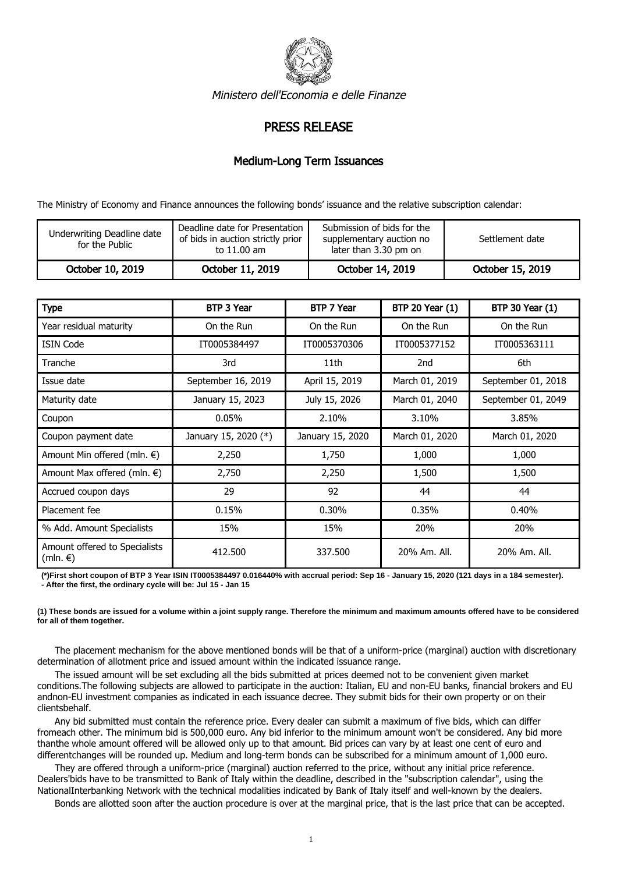

Ministero dell'Economia e delle Finanze

## PRESS RELEASE

## Medium-Long Term Issuances

The Ministry of Economy and Finance announces the following bonds' issuance and the relative subscription calendar:

| Underwriting Deadline date<br>for the Public | Deadline date for Presentation<br>of bids in auction strictly prior<br>to 11.00 am | Submission of bids for the<br>supplementary auction no<br>later than 3.30 pm on | Settlement date  |
|----------------------------------------------|------------------------------------------------------------------------------------|---------------------------------------------------------------------------------|------------------|
| October 10, 2019                             | October 11, 2019                                                                   | October 14, 2019                                                                | October 15, 2019 |

| <b>Type</b>                               | BTP 3 Year           | BTP 7 Year       | <b>BTP 20 Year (1)</b> | <b>BTP 30 Year (1)</b> |
|-------------------------------------------|----------------------|------------------|------------------------|------------------------|
| Year residual maturity                    | On the Run           | On the Run       | On the Run             | On the Run             |
| <b>ISIN Code</b>                          | IT0005384497         | IT0005370306     | IT0005377152           | IT0005363111           |
| Tranche                                   | 3rd                  | 11th             | 2nd                    | 6th                    |
| Issue date                                | September 16, 2019   | April 15, 2019   | March 01, 2019         | September 01, 2018     |
| Maturity date                             | January 15, 2023     | July 15, 2026    | March 01, 2040         | September 01, 2049     |
| Coupon                                    | 0.05%                | 2.10%            | 3.10%                  | 3.85%                  |
| Coupon payment date                       | January 15, 2020 (*) | January 15, 2020 | March 01, 2020         | March 01, 2020         |
| Amount Min offered (mln. €)               | 2,250                | 1,750            | 1,000                  | 1,000                  |
| Amount Max offered (mln. €)               | 2,750                | 2,250            | 1,500                  | 1,500                  |
| Accrued coupon days                       | 29                   | 92               | 44                     | 44                     |
| Placement fee                             | 0.15%                | 0.30%            | 0.35%                  | 0.40%                  |
| % Add. Amount Specialists                 | 15%                  | 15%              | 20%                    | 20%                    |
| Amount offered to Specialists<br>(mln. €) | 412.500              | 337.500          | 20% Am. All.           | 20% Am. All.           |

**(\*)First short coupon of BTP 3 Year ISIN IT0005384497 0.016440% with accrual period: Sep 16 - January 15, 2020 (121 days in a 184 semester). - After the first, the ordinary cycle will be: Jul 15 - Jan 15**

**(1) These bonds are issued for a volume within a joint supply range. Therefore the minimum and maximum amounts offered have to be considered for all of them together.**

 The placement mechanism for the above mentioned bonds will be that of a uniform-price (marginal) auction with discretionary determination of allotment price and issued amount within the indicated issuance range.

 The issued amount will be set excluding all the bids submitted at prices deemed not to be convenient given market conditions.The following subjects are allowed to participate in the auction: Italian, EU and non-EU banks, financial brokers and EU andnon-EU investment companies as indicated in each issuance decree. They submit bids for their own property or on their clientsbehalf.

 Any bid submitted must contain the reference price. Every dealer can submit a maximum of five bids, which can differ fromeach other. The minimum bid is 500,000 euro. Any bid inferior to the minimum amount won't be considered. Any bid more thanthe whole amount offered will be allowed only up to that amount. Bid prices can vary by at least one cent of euro and differentchanges will be rounded up. Medium and long-term bonds can be subscribed for a minimum amount of 1,000 euro.

 They are offered through a uniform-price (marginal) auction referred to the price, without any initial price reference. Dealers'bids have to be transmitted to Bank of Italy within the deadline, described in the "subscription calendar", using the NationalInterbanking Network with the technical modalities indicated by Bank of Italy itself and well-known by the dealers.

Bonds are allotted soon after the auction procedure is over at the marginal price, that is the last price that can be accepted.